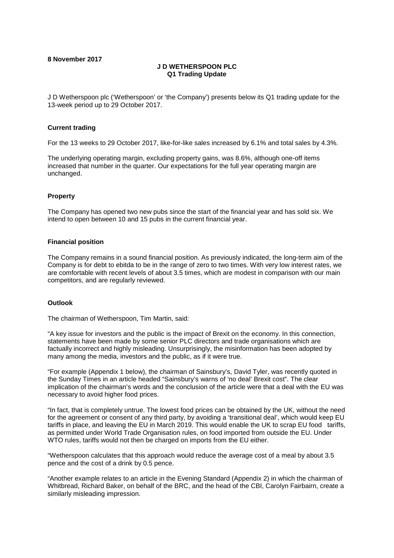## **J D WETHERSPOON PLC Q1 Trading Update**

J D Wetherspoon plc ('Wetherspoon' or 'the Company') presents below its Q1 trading update for the 13-week period up to 29 October 2017.

## **Current trading**

For the 13 weeks to 29 October 2017, like-for-like sales increased by 6.1% and total sales by 4.3%.

The underlying operating margin, excluding property gains, was 8.6%, although one-off items increased that number in the quarter. Our expectations for the full year operating margin are unchanged.

# **Property**

The Company has opened two new pubs since the start of the financial year and has sold six. We intend to open between 10 and 15 pubs in the current financial year.

## **Financial position**

The Company remains in a sound financial position. As previously indicated, the long-term aim of the Company is for debt to ebitda to be in the range of zero to two times. With very low interest rates, we are comfortable with recent levels of about 3.5 times, which are modest in comparison with our main competitors, and are regularly reviewed.

## **Outlook**

The chairman of Wetherspoon, Tim Martin, said:

"A key issue for investors and the public is the impact of Brexit on the economy. In this connection, statements have been made by some senior PLC directors and trade organisations which are factually incorrect and highly misleading. Unsurprisingly, the misinformation has been adopted by many among the media, investors and the public, as if it were true.

"For example (Appendix 1 below), the chairman of Sainsbury's, David Tyler, was recently quoted in the Sunday Times in an article headed "Sainsbury's warns of 'no deal' Brexit cost". The clear implication of the chairman's words and the conclusion of the article were that a deal with the EU was necessary to avoid higher food prices.

"In fact, that is completely untrue. The lowest food prices can be obtained by the UK, without the need for the agreement or consent of any third party, by avoiding a 'transitional deal', which would keep EU tariffs in place, and leaving the EU in March 2019. This would enable the UK to scrap EU food tariffs, as permitted under World Trade Organisation rules, on food imported from outside the EU. Under WTO rules, tariffs would not then be charged on imports from the EU either.

"Wetherspoon calculates that this approach would reduce the average cost of a meal by about 3.5 pence and the cost of a drink by 0.5 pence.

"Another example relates to an article in the Evening Standard (Appendix 2) in which the chairman of Whitbread, Richard Baker, on behalf of the BRC, and the head of the CBI, Carolyn Fairbairn, create a similarly misleading impression.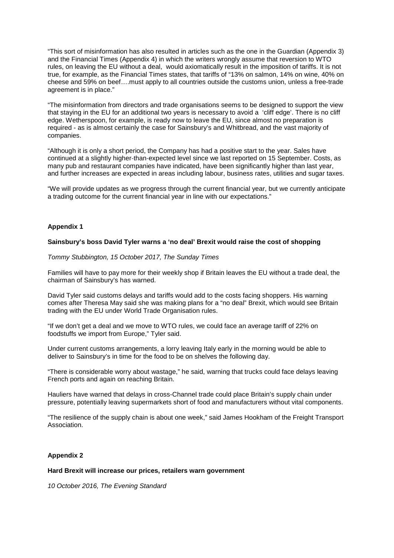"This sort of misinformation has also resulted in articles such as the one in the Guardian (Appendix 3) and the Financial Times (Appendix 4) in which the writers wrongly assume that reversion to WTO rules, on leaving the EU without a deal, would axiomatically result in the imposition of tariffs. It is not true, for example, as the Financial Times states, that tariffs of "13% on salmon, 14% on wine, 40% on cheese and 59% on beef….must apply to all countries outside the customs union, unless a free-trade agreement is in place."

"The misinformation from directors and trade organisations seems to be designed to support the view that staying in the EU for an additional two years is necessary to avoid a 'cliff edge'. There is no cliff edge. Wetherspoon, for example, is ready now to leave the EU, since almost no preparation is required - as is almost certainly the case for Sainsbury's and Whitbread, and the vast majority of companies.

"Although it is only a short period, the Company has had a positive start to the year. Sales have continued at a slightly higher-than-expected level since we last reported on 15 September. Costs, as many pub and restaurant companies have indicated, have been significantly higher than last year, and further increases are expected in areas including labour, business rates, utilities and sugar taxes.

"We will provide updates as we progress through the current financial year, but we currently anticipate a trading outcome for the current financial year in line with our expectations."

# **Appendix 1**

### **Sainsbury's boss David Tyler warns a 'no deal' Brexit would raise the cost of shopping**

*Tommy Stubbington, 15 October 2017, The Sunday Times*

Families will have to pay more for their weekly shop if Britain leaves the EU without a trade deal, the chairman of Sainsbury's has warned.

David Tyler said customs delays and tariffs would add to the costs facing shoppers. His warning comes after Theresa May said she was making plans for a "no deal" Brexit, which would see Britain trading with the EU under World Trade Organisation rules.

"If we don't get a deal and we move to WTO rules, we could face an average tariff of 22% on foodstuffs we import from Europe," Tyler said.

Under current customs arrangements, a lorry leaving Italy early in the morning would be able to deliver to Sainsbury's in time for the food to be on shelves the following day.

"There is considerable worry about wastage," he said, warning that trucks could face delays leaving French ports and again on reaching Britain.

Hauliers have warned that delays in cross-Channel trade could place Britain's supply chain under pressure, potentially leaving supermarkets short of food and manufacturers without vital components.

"The resilience of the supply chain is about one week," said James Hookham of the Freight Transport Association.

## **Appendix 2**

### **Hard Brexit will increase our prices, retailers warn government**

*10 October 2016, The Evening Standard*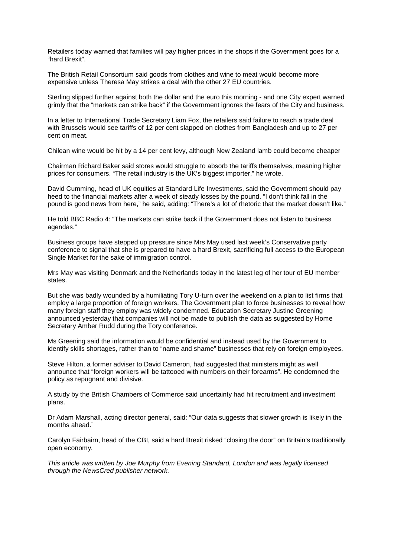Retailers today warned that families will pay higher prices in the shops if the Government goes for a "hard Brexit".

The British Retail Consortium said goods from clothes and wine to meat would become more expensive unless Theresa May strikes a deal with the other 27 EU countries.

Sterling slipped further against both the dollar and the euro this morning - and one City expert warned grimly that the "markets can strike back" if the Government ignores the fears of the City and business.

In a letter to International Trade Secretary Liam Fox, the retailers said failure to reach a trade deal with Brussels would see tariffs of 12 per cent slapped on clothes from Bangladesh and up to 27 per cent on meat.

Chilean wine would be hit by a 14 per cent levy, although New Zealand lamb could become cheaper

Chairman Richard Baker said stores would struggle to absorb the tariffs themselves, meaning higher prices for consumers. "The retail industry is the UK's biggest importer," he wrote.

David Cumming, head of UK equities at Standard Life Investments, said the Government should pay heed to the financial markets after a week of steady losses by the pound. "I don't think fall in the pound is good news from here," he said, adding: "There's a lot of rhetoric that the market doesn't like."

He told BBC Radio 4: "The markets can strike back if the Government does not listen to business agendas."

Business groups have stepped up pressure since Mrs May used last week's Conservative party conference to signal that she is prepared to have a hard Brexit, sacrificing full access to the European Single Market for the sake of immigration control.

Mrs May was visiting Denmark and the Netherlands today in the latest leg of her tour of EU member states.

But she was badly wounded by a humiliating Tory U-turn over the weekend on a plan to list firms that employ a large proportion of foreign workers. The Government plan to force businesses to reveal how many foreign staff they employ was widely condemned. Education Secretary Justine Greening announced yesterday that companies will not be made to publish the data as suggested by Home Secretary Amber Rudd during the Tory conference.

Ms Greening said the information would be confidential and instead used by the Government to identify skills shortages, rather than to "name and shame" businesses that rely on foreign employees.

Steve Hilton, a former adviser to David Cameron, had suggested that ministers might as well announce that "foreign workers will be tattooed with numbers on their forearms". He condemned the policy as repugnant and divisive.

A study by the British Chambers of Commerce said uncertainty had hit recruitment and investment plans.

Dr Adam Marshall, acting director general, said: "Our data suggests that slower growth is likely in the months ahead."

Carolyn Fairbairn, head of the CBI, said a hard Brexit risked "closing the door" on Britain's traditionally open economy.

*This article was written by Joe Murphy from Evening Standard, London and was legally licensed through the NewsCred publisher network.*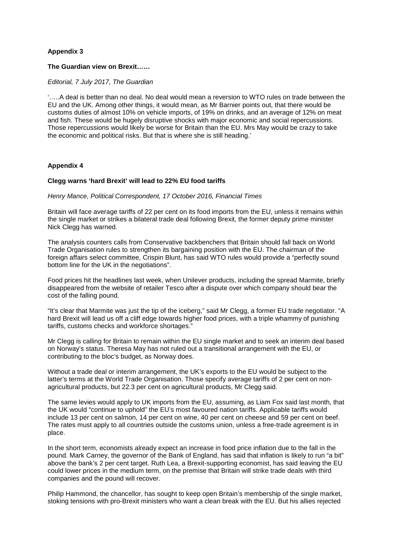# **Appendix 3**

### **The Guardian view on Brexit……**

### *Editorial, 7 July 2017, The Guardian*

'…..A deal is better than no deal. No deal would mean a reversion to WTO rules on trade between the EU and the UK. Among other things, it would mean, as Mr Barnier points out, that there would be customs duties of almost 10% on vehicle imports, of 19% on drinks, and an average of 12% on meat and fish. These would be hugely disruptive shocks with major economic and social repercussions. Those repercussions would likely be worse for Britain than the EU. Mrs May would be crazy to take the economic and political risks. But that is where she is still heading.'

### **Appendix 4**

### **Clegg warns 'hard Brexit' will lead to 22% EU food tariffs**

### *Henry Mance, Political Correspondent, 17 October 2016, Financial Times*

Britain will face average tariffs of 22 per cent on its food imports from the EU, unless it remains within the single market or strikes a bilateral trade deal following Brexit, the former deputy prime minister Nick Clegg has warned.

The analysis counters calls from Conservative backbenchers that Britain should fall back on World Trade Organisation rules to strengthen its bargaining position with the EU. The chairman of the foreign affairs select committee, Crispin Blunt, has said WTO rules would provide a "perfectly sound bottom line for the UK in the negotiations".

Food prices hit the headlines last week, when Unilever products, including the spread Marmite, briefly disappeared from the website of retailer Tesco after a dispute over which company should bear the cost of the falling pound.

"It's clear that Marmite was just the tip of the iceberg," said Mr Clegg, a former EU trade negotiator. "A hard Brexit will lead us off a cliff edge towards higher food prices, with a triple whammy of punishing tariffs, customs checks and workforce shortages."

Mr Clegg is calling for Britain to remain within the EU single market and to seek an interim deal based on Norway's status. Theresa May has not ruled out a transitional arrangement with the EU, or contributing to the bloc's budget, as Norway does.

Without a trade deal or interim arrangement, the UK's exports to the EU would be subject to the latter's terms at the World Trade Organisation. Those specify average tariffs of 2 per cent on nonagricultural products, but 22.3 per cent on agricultural products, Mr Clegg said.

The same levies would apply to UK imports from the EU, assuming, as Liam Fox said last month, that the UK would "continue to uphold" the EU's most favoured nation tariffs. Applicable tariffs would include 13 per cent on salmon, 14 per cent on wine, 40 per cent on cheese and 59 per cent on beef. The rates must apply to all countries outside the customs union, unless a free-trade agreement is in place.

In the short term, economists already expect an increase in food price inflation due to the fall in the pound. Mark Carney, the governor of the Bank of England, has said that inflation is likely to run "a bit" above the bank's 2 per cent target. Ruth Lea, a Brexit-supporting economist, has said leaving the EU could lower prices in the medium term, on the premise that Britain will strike trade deals with third companies and the pound will recover.

Philip Hammond, the chancellor, has sought to keep open Britain's membership of the single market, stoking tensions with pro-Brexit ministers who want a clean break with the EU. But his allies rejected